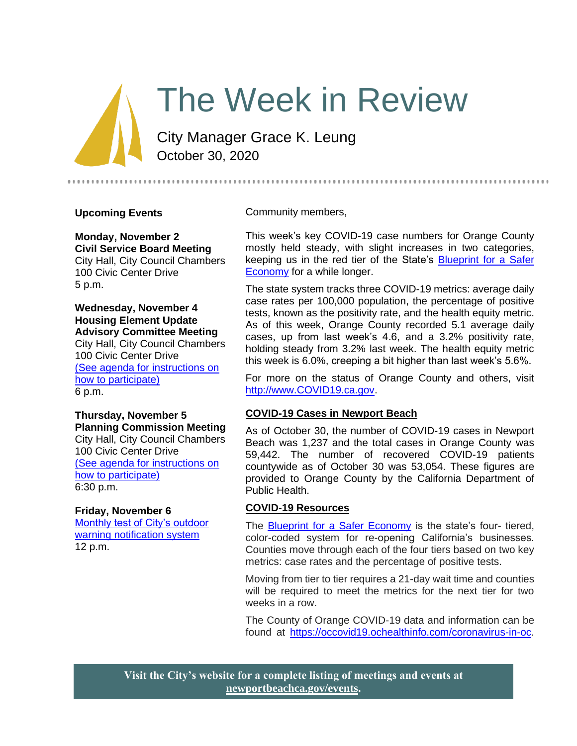# The Week in Review

City Manager Grace K. Leung October 30, 2020

## **Upcoming Events**

**Monday, November 2 Civil Service Board Meeting**

City Hall, City Council Chambers 100 Civic Center Drive 5 p.m.

# **Wednesday, November 4 Housing Element Update Advisory Committee Meeting**

City Hall, City Council Chambers 100 Civic Center Drive [\(See agenda for instructions on](https://www.newportbeachca.gov/government/data-hub/agendas-minutes/housing-element-update-advisory-committee)  [how to participate\)](https://www.newportbeachca.gov/government/data-hub/agendas-minutes/housing-element-update-advisory-committee) 6 p.m.

#### **Thursday, November 5 Planning Commission Meeting** City Hall, City Council Chambers 100 Civic Center Drive [\(See agenda for instructions on](https://www.newportbeachca.gov/government/departments/community-development/planning-division/planning-commission)  [how to participate\)](https://www.newportbeachca.gov/government/departments/community-development/planning-division/planning-commission) 6:30 p.m.

## **Friday, November 6**

[Monthly test of City's outdoor](https://www.newportbeachca.gov/Home/Components/Calendar/Event/63489/72?curm=11&cury=2020)  [warning notification system](https://www.newportbeachca.gov/Home/Components/Calendar/Event/63489/72?curm=11&cury=2020) 12 p.m.

Community members,

This week's key COVID-19 case numbers for Orange County mostly held steady, with slight increases in two categories, keeping us in the red tier of the State's [Blueprint for a Safer](https://covid19.ca.gov/safer-economy/)  [Economy](https://covid19.ca.gov/safer-economy/) for a while longer.

The state system tracks three COVID-19 metrics: average daily case rates per 100,000 population, the percentage of positive tests, known as the positivity rate, and the health equity metric. As of this week, Orange County recorded 5.1 average daily cases, up from last week's 4.6, and a 3.2% positivity rate, holding steady from 3.2% last week. The health equity metric this week is 6.0%, creeping a bit higher than last week's 5.6%.

For more on the status of Orange County and others, visit [http://www.COVID19.ca.gov.](http://www.covid19.ca.gov/)

#### **COVID-19 Cases in Newport Beach**

As of October 30, the number of COVID-19 cases in Newport Beach was 1,237 and the total cases in Orange County was 59,442. The number of recovered COVID-19 patients countywide as of October 30 was 53,054. These figures are provided to Orange County by the California Department of Public Health.

## **COVID-19 Resources**

The **Blueprint for a Safer Economy** is the state's four- tiered, color-coded system for re-opening California's businesses. Counties move through each of the four tiers based on two key metrics: case rates and the percentage of positive tests.

Moving from tier to tier requires a 21-day wait time and counties will be required to meet the metrics for the next tier for two weeks in a row.

The County of Orange COVID-19 data and information can be found at [https://occovid19.ochealthinfo.com/coronavirus-in-oc.](https://occovid19.ochealthinfo.com/coronavirus-in-oc)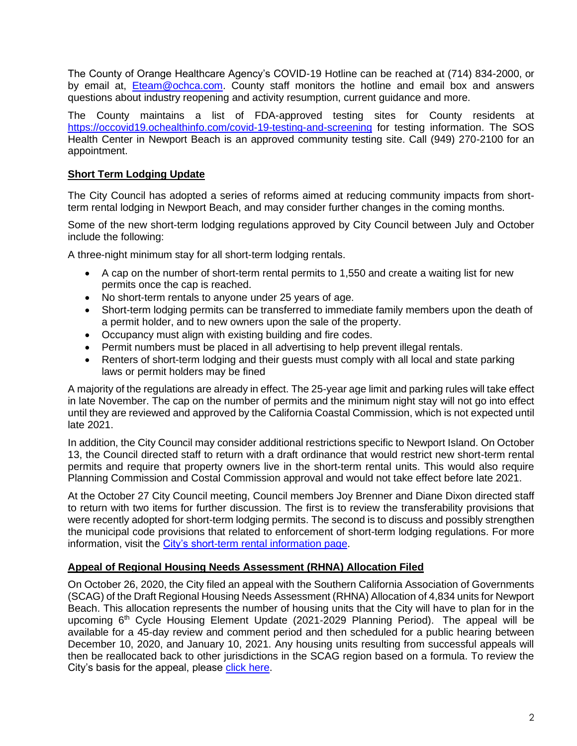The County of Orange Healthcare Agency's COVID-19 Hotline can be reached at (714) 834-2000, or by email at, [Eteam@ochca.com.](mailto:Eteam@ochca.com) County staff monitors the hotline and email box and answers questions about industry reopening and activity resumption, current guidance and more.

The County maintains a list of FDA-approved testing sites for County residents at <https://occovid19.ochealthinfo.com/covid-19-testing-and-screening> for testing information. The SOS Health Center in Newport Beach is an approved community testing site. Call (949) 270-2100 for an appointment.

# **Short Term Lodging Update**

The City Council has adopted a series of reforms aimed at reducing community impacts from shortterm rental lodging in Newport Beach, and may consider further changes in the coming months.

Some of the new short-term lodging regulations approved by City Council between July and October include the following:

A three-night minimum stay for all short-term lodging rentals.

- A cap on the number of short-term rental permits to 1,550 and create a waiting list for new permits once the cap is reached.
- No short-term rentals to anyone under 25 years of age.
- Short-term lodging permits can be transferred to immediate family members upon the death of a permit holder, and to new owners upon the sale of the property.
- Occupancy must align with existing building and fire codes.
- Permit numbers must be placed in all advertising to help prevent illegal rentals.
- Renters of short-term lodging and their guests must comply with all local and state parking laws or permit holders may be fined

A majority of the regulations are already in effect. The 25-year age limit and parking rules will take effect in late November. The cap on the number of permits and the minimum night stay will not go into effect until they are reviewed and approved by the California Coastal Commission, which is not expected until late 2021.

In addition, the City Council may consider additional restrictions specific to Newport Island. On October 13, the Council directed staff to return with a draft ordinance that would restrict new short-term rental permits and require that property owners live in the short-term rental units. This would also require Planning Commission and Costal Commission approval and would not take effect before late 2021.

At the October 27 City Council meeting, Council members Joy Brenner and Diane Dixon directed staff to return with two items for further discussion. The first is to review the transferability provisions that were recently adopted for short-term lodging permits. The second is to discuss and possibly strengthen the municipal code provisions that related to enforcement of short-term lodging regulations. For more information, visit the [City's short-term rental information page.](https://www.newportbeachca.gov/government/departments/finance/revenue-division/short-term-rentals)

## **Appeal of Regional Housing Needs Assessment (RHNA) Allocation Filed**

On October 26, 2020, the City filed an appeal with the Southern California Association of Governments (SCAG) of the Draft Regional Housing Needs Assessment (RHNA) Allocation of 4,834 units for Newport Beach. This allocation represents the number of housing units that the City will have to plan for in the upcoming  $6<sup>th</sup>$  Cycle Housing Element Update (2021-2029 Planning Period). The appeal will be available for a 45-day review and comment period and then scheduled for a public hearing between December 10, 2020, and January 10, 2021. Any housing units resulting from successful appeals will then be reallocated back to other jurisdictions in the SCAG region based on a formula. To review the City's basis for the appeal, please [click here.](https://www.newportbeachca.gov/home/showdocument?id=68966)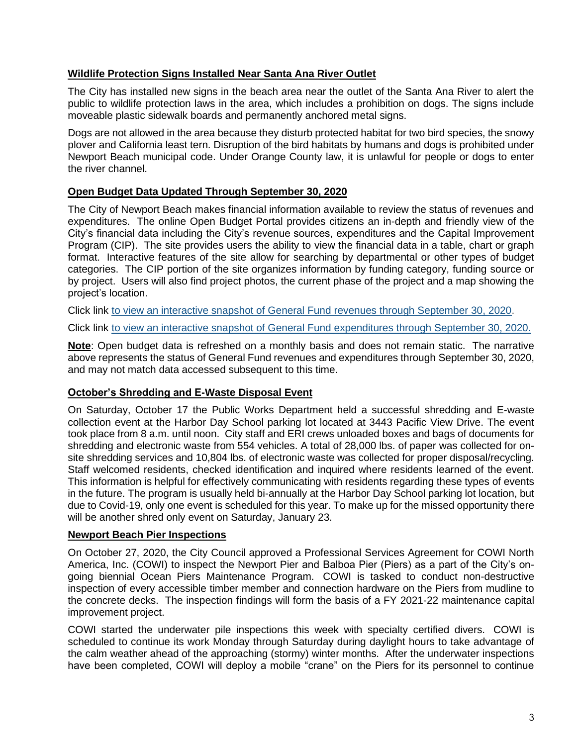# **Wildlife Protection Signs Installed Near Santa Ana River Outlet**

The City has installed new signs in the beach area near the outlet of the Santa Ana River to alert the public to wildlife protection laws in the area, which includes a prohibition on dogs. The signs include moveable plastic sidewalk boards and permanently anchored metal signs.

Dogs are not allowed in the area because they disturb protected habitat for two bird species, the snowy plover and California least tern. Disruption of the bird habitats by humans and dogs is prohibited under Newport Beach municipal code. Under Orange County law, it is unlawful for people or dogs to enter the river channel.

# **Open Budget Data Updated Through September 30, 2020**

The City of Newport Beach makes financial information available to review the status of revenues and expenditures. The online Open Budget Portal provides citizens an in-depth and friendly view of the City's financial data including the City's revenue sources, expenditures and the Capital Improvement Program (CIP). The site provides users the ability to view the financial data in a table, chart or graph format. Interactive features of the site allow for searching by departmental or other types of budget categories. The CIP portion of the site organizes information by funding category, funding source or by project. Users will also find project photos, the current phase of the project and a map showing the project's location.

Click link [to view an interactive snapshot of General Fund revenues through September 30, 2020.](https://newportbeachca.budget.socrata.com/#!/year/2021/revenue/0/fund/GENERAL+FUND/0/class)

Click link [to view an interactive snapshot of General Fund expenditures through September 30, 2020.](https://newportbeachca.budget.socrata.com/#!/year/2021/operating/0/fund/GENERAL+FUND/0/department)

**Note**: Open budget data is refreshed on a monthly basis and does not remain static. The narrative above represents the status of General Fund revenues and expenditures through September 30, 2020, and may not match data accessed subsequent to this time.

## **October's Shredding and E-Waste Disposal Event**

On Saturday, October 17 the Public Works Department held a successful shredding and E-waste collection event at the Harbor Day School parking lot located at 3443 Pacific View Drive. The event took place from 8 a.m. until noon. City staff and ERI crews unloaded boxes and bags of documents for shredding and electronic waste from 554 vehicles. A total of 28,000 lbs. of paper was collected for onsite shredding services and 10,804 lbs. of electronic waste was collected for proper disposal/recycling. Staff welcomed residents, checked identification and inquired where residents learned of the event. This information is helpful for effectively communicating with residents regarding these types of events in the future. The program is usually held bi-annually at the Harbor Day School parking lot location, but due to Covid-19, only one event is scheduled for this year. To make up for the missed opportunity there will be another shred only event on Saturday, January 23.

## **Newport Beach Pier Inspections**

On October 27, 2020, the City Council approved a Professional Services Agreement for COWI North America, Inc. (COWI) to inspect the Newport Pier and Balboa Pier (Piers) as a part of the City's ongoing biennial Ocean Piers Maintenance Program. COWI is tasked to conduct non-destructive inspection of every accessible timber member and connection hardware on the Piers from mudline to the concrete decks. The inspection findings will form the basis of a FY 2021-22 maintenance capital improvement project.

COWI started the underwater pile inspections this week with specialty certified divers. COWI is scheduled to continue its work Monday through Saturday during daylight hours to take advantage of the calm weather ahead of the approaching (stormy) winter months. After the underwater inspections have been completed, COWI will deploy a mobile "crane" on the Piers for its personnel to continue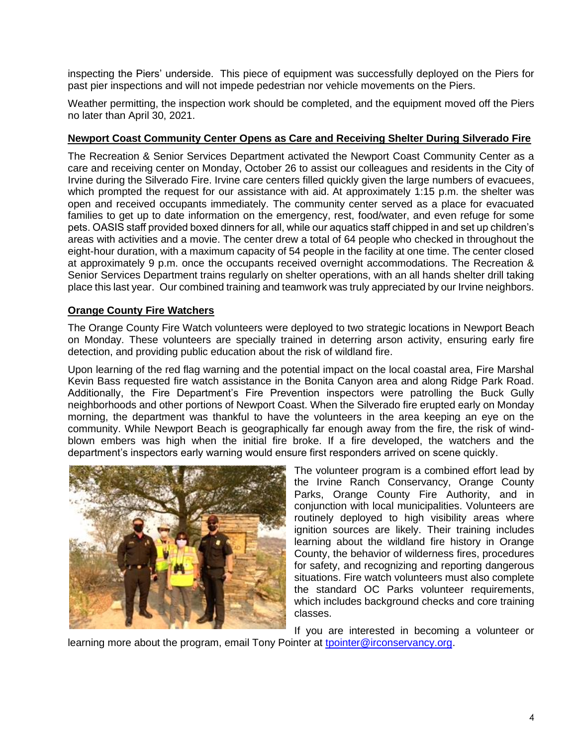inspecting the Piers' underside. This piece of equipment was successfully deployed on the Piers for past pier inspections and will not impede pedestrian nor vehicle movements on the Piers.

Weather permitting, the inspection work should be completed, and the equipment moved off the Piers no later than April 30, 2021.

# **Newport Coast Community Center Opens as Care and Receiving Shelter During Silverado Fire**

The Recreation & Senior Services Department activated the Newport Coast Community Center as a care and receiving center on Monday, October 26 to assist our colleagues and residents in the City of Irvine during the Silverado Fire. Irvine care centers filled quickly given the large numbers of evacuees, which prompted the request for our assistance with aid. At approximately 1:15 p.m. the shelter was open and received occupants immediately. The community center served as a place for evacuated families to get up to date information on the emergency, rest, food/water, and even refuge for some pets. OASIS staff provided boxed dinners for all, while our aquatics staff chipped in and set up children's areas with activities and a movie. The center drew a total of 64 people who checked in throughout the eight-hour duration, with a maximum capacity of 54 people in the facility at one time. The center closed at approximately 9 p.m. once the occupants received overnight accommodations. The Recreation & Senior Services Department trains regularly on shelter operations, with an all hands shelter drill taking place this last year. Our combined training and teamwork was truly appreciated by our Irvine neighbors.

# **Orange County Fire Watchers**

The Orange County Fire Watch volunteers were deployed to two strategic locations in Newport Beach on Monday. These volunteers are specially trained in deterring arson activity, ensuring early fire detection, and providing public education about the risk of wildland fire.

Upon learning of the red flag warning and the potential impact on the local coastal area, Fire Marshal Kevin Bass requested fire watch assistance in the Bonita Canyon area and along Ridge Park Road. Additionally, the Fire Department's Fire Prevention inspectors were patrolling the Buck Gully neighborhoods and other portions of Newport Coast. When the Silverado fire erupted early on Monday morning, the department was thankful to have the volunteers in the area keeping an eye on the community. While Newport Beach is geographically far enough away from the fire, the risk of windblown embers was high when the initial fire broke. If a fire developed, the watchers and the department's inspectors early warning would ensure first responders arrived on scene quickly.



The volunteer program is a combined effort lead by the Irvine Ranch Conservancy, Orange County Parks, Orange County Fire Authority, and in conjunction with local municipalities. Volunteers are routinely deployed to high visibility areas where ignition sources are likely. Their training includes learning about the wildland fire history in Orange County, the behavior of wilderness fires, procedures for safety, and recognizing and reporting dangerous situations. Fire watch volunteers must also complete the standard OC Parks volunteer requirements, which includes background checks and core training classes.

If you are interested in becoming a volunteer or learning more about the program, email Tony Pointer at [tpointer@irconservancy.org.](mailto:tpointer@irconservancy.org)